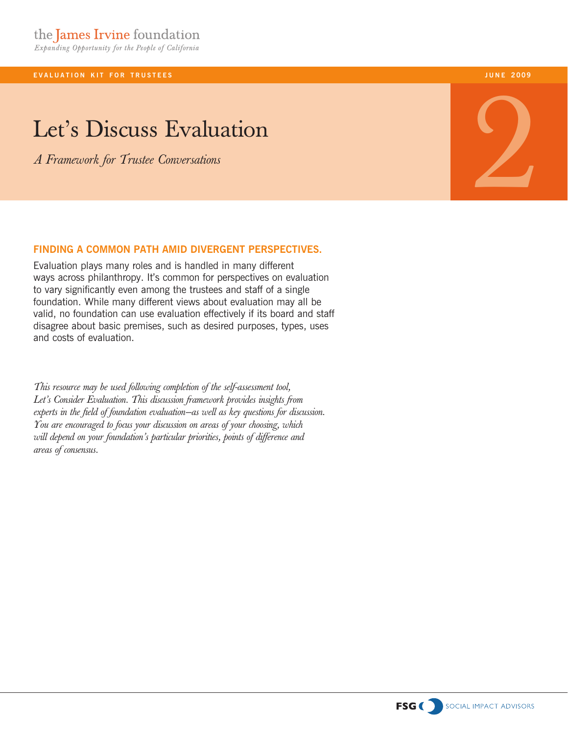**EVALUATION KIT FOR TRUSTEES** 

# Let's Discuss Evaluation

*A Framework for Trustee Conversations*

**j u n e 2009**

# 2

### **finding a common path AMId divergent perspectives.**

Evaluation plays many roles and is handled in many different ways across philanthropy. It's common for perspectives on evaluation to vary significantly even among the trustees and staff of a single foundation. While many different views about evaluation may all be valid, no foundation can use evaluation effectively if its board and staff disagree about basic premises, such as desired purposes, types, uses and costs of evaluation.

*This resource may be used following completion of the self-assessment tool, Let's Consider Evaluation. This discussion framework provides insights from experts in the field of foundation evaluation—as well as key questions for discussion. You are encouraged to focus your discussion on areas of your choosing, which will depend on your foundation's particular priorities, points of difference and areas of consensus.*

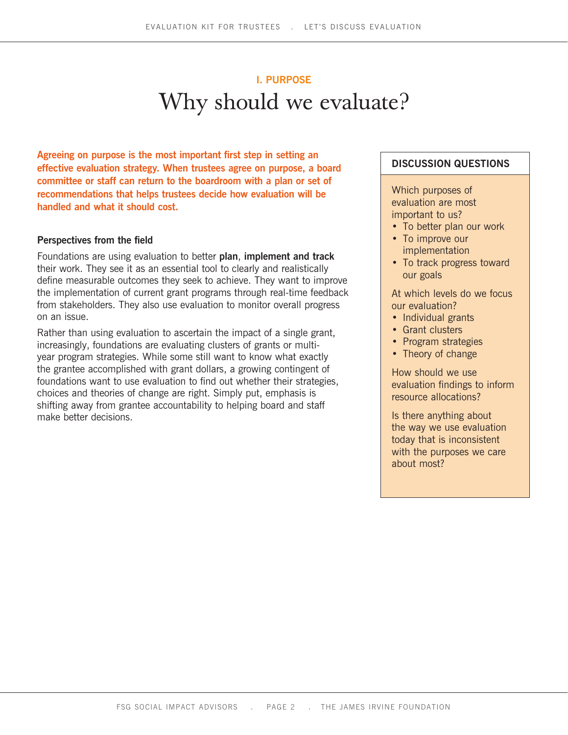# Why should we evaluate? **I. Purpose**

**Agreeing on purpose is the most important first step in setting an effective evaluation strategy. When trustees agree on purpose, a board committee or staff can return to the boardroom with a plan or set of recommendations that helps trustees decide how evaluation will be handled and what it should cost.** 

### **Perspectives from the field**

Foundations are using evaluation to better **plan**, **implement and track**  their work. They see it as an essential tool to clearly and realistically define measurable outcomes they seek to achieve. They want to improve the implementation of current grant programs through real-time feedback from stakeholders. They also use evaluation to monitor overall progress on an issue.

Rather than using evaluation to ascertain the impact of a single grant, increasingly, foundations are evaluating clusters of grants or multiyear program strategies. While some still want to know what exactly the grantee accomplished with grant dollars, a growing contingent of foundations want to use evaluation to find out whether their strategies, choices and theories of change are right. Simply put, emphasis is shifting away from grantee accountability to helping board and staff make better decisions.

### **Discussion questions**

Which purposes of evaluation are most important to us?

- To better plan our work
- To improve our implementation
- To track progress toward our goals

At which levels do we focus our evaluation?

- Individual grants
- Grant clusters
- Program strategies
- Theory of change

How should we use evaluation findings to inform resource allocations?

Is there anything about the way we use evaluation today that is inconsistent with the purposes we care about most?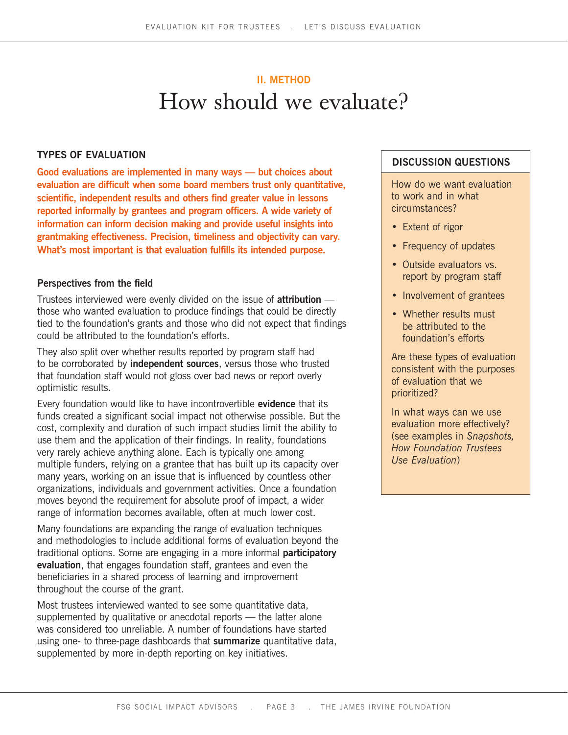# How should we evaluate? **II. method**

### **TYPES OF EVALUATION**

**Good evaluations are implemented in many ways — but choices about evaluation are difficult when some board members trust only quantitative, scientific, independent results and others find greater value in lessons reported informally by grantees and program officers. A wide variety of information can inform decision making and provide useful insights into grantmaking effectiveness. Precision, timeliness and objectivity can vary. What's most important is that evaluation fulfills its intended purpose.**

### **Perspectives from the field**

Trustees interviewed were evenly divided on the issue of **attribution** those who wanted evaluation to produce findings that could be directly tied to the foundation's grants and those who did not expect that findings could be attributed to the foundation's efforts.

They also split over whether results reported by program staff had to be corroborated by **independent sources**, versus those who trusted that foundation staff would not gloss over bad news or report overly optimistic results.

Every foundation would like to have incontrovertible **evidence** that its funds created a significant social impact not otherwise possible. But the cost, complexity and duration of such impact studies limit the ability to use them and the application of their findings. In reality, foundations very rarely achieve anything alone. Each is typically one among multiple funders, relying on a grantee that has built up its capacity over many years, working on an issue that is influenced by countless other organizations, individuals and government activities. Once a foundation moves beyond the requirement for absolute proof of impact, a wider range of information becomes available, often at much lower cost.

Many foundations are expanding the range of evaluation techniques and methodologies to include additional forms of evaluation beyond the traditional options. Some are engaging in a more informal **participatory evaluation**, that engages foundation staff, grantees and even the beneficiaries in a shared process of learning and improvement throughout the course of the grant.

Most trustees interviewed wanted to see some quantitative data, supplemented by qualitative or anecdotal reports — the latter alone was considered too unreliable. A number of foundations have started using one- to three-page dashboards that **summarize** quantitative data, supplemented by more in-depth reporting on key initiatives.

### **Discussion questions**

How do we want evaluation to work and in what circumstances?

- Extent of rigor
- Frequency of updates
- Outside evaluators vs. report by program staff
- Involvement of grantees
- Whether results must be attributed to the foundation's efforts

Are these types of evaluation consistent with the purposes of evaluation that we prioritized?

In what ways can we use evaluation more effectively? (see examples in *Snapshots, How Foundation Trustees Use Evaluation*)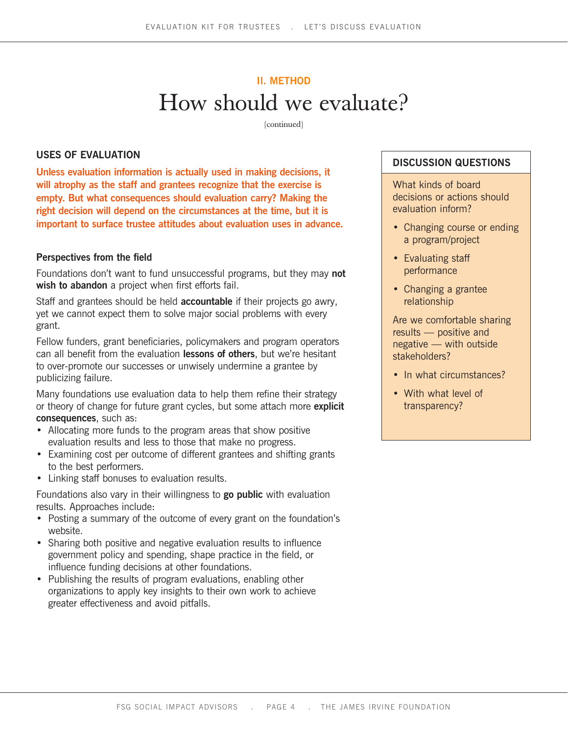# How should we evaluate? **II. method**

{continued}

### **USES OF EVALUATION**

**Unless evaluation information is actually used in making decisions, it will atrophy as the staff and grantees recognize that the exercise is empty. But what consequences should evaluation carry? Making the right decision will depend on the circumstances at the time, but it is important to surface trustee attitudes about evaluation uses in advance.**

### **Perspectives from the field**

Foundations don't want to fund unsuccessful programs, but they may **not wish to abandon** a project when first efforts fail.

Staff and grantees should be held **accountable** if their projects go awry, yet we cannot expect them to solve major social problems with every grant.

Fellow funders, grant beneficiaries, policymakers and program operators can all benefit from the evaluation **lessons of others**, but we're hesitant to over-promote our successes or unwisely undermine a grantee by publicizing failure.

Many foundations use evaluation data to help them refine their strategy or theory of change for future grant cycles, but some attach more **explicit consequences**, such as:

- Allocating more funds to the program areas that show positive evaluation results and less to those that make no progress.
- Examining cost per outcome of different grantees and shifting grants to the best performers.
- Linking staff bonuses to evaluation results.

Foundations also vary in their willingness to **go public** with evaluation results. Approaches include:

- Posting a summary of the outcome of every grant on the foundation's website.
- Sharing both positive and negative evaluation results to influence government policy and spending, shape practice in the field, or influence funding decisions at other foundations.
- Publishing the results of program evaluations, enabling other organizations to apply key insights to their own work to achieve greater effectiveness and avoid pitfalls.

### **Discussion questions**

What kinds of board decisions or actions should evaluation inform?

- Changing course or ending a program/project
- Evaluating staff performance
- • Changing a grantee relationship

Are we comfortable sharing results — positive and negative — with outside stakeholders?

- In what circumstances?
- With what level of transparency?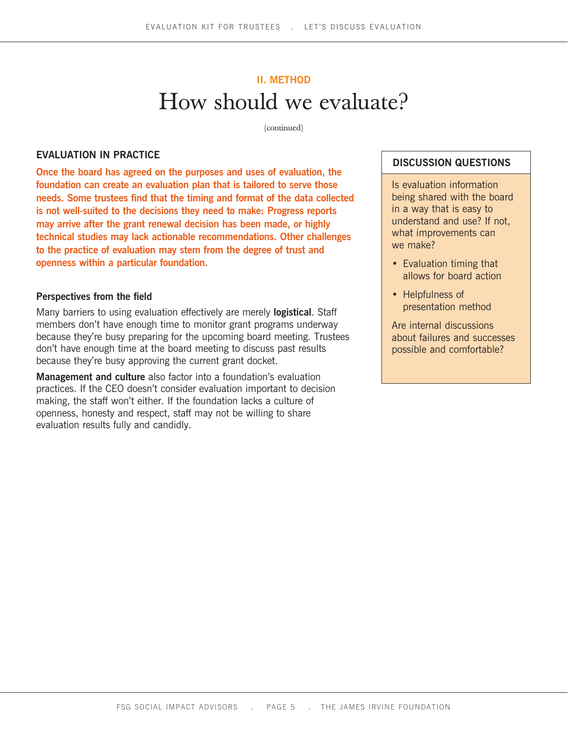## How should we evaluate? **II. method**

{continued}

### **EVALUATION IN PRACTICE**

**Once the board has agreed on the purposes and uses of evaluation, the foundation can create an evaluation plan that is tailored to serve those needs. Some trustees find that the timing and format of the data collected is not well-suited to the decisions they need to make: Progress reports may arrive after the grant renewal decision has been made, or highly technical studies may lack actionable recommendations. Other challenges to the practice of evaluation may stem from the degree of trust and openness within a particular foundation.**

### **Perspectives from the field**

Many barriers to using evaluation effectively are merely **logistical**. Staff members don't have enough time to monitor grant programs underway because they're busy preparing for the upcoming board meeting. Trustees don't have enough time at the board meeting to discuss past results because they're busy approving the current grant docket.

**Management and culture** also factor into a foundation's evaluation practices. If the CEO doesn't consider evaluation important to decision making, the staff won't either. If the foundation lacks a culture of openness, honesty and respect, staff may not be willing to share evaluation results fully and candidly.

### **Discussion questions**

Is evaluation information being shared with the board in a way that is easy to understand and use? If not, what improvements can we make?

- Evaluation timing that allows for board action
- Helpfulness of presentation method

Are internal discussions about failures and successes possible and comfortable?